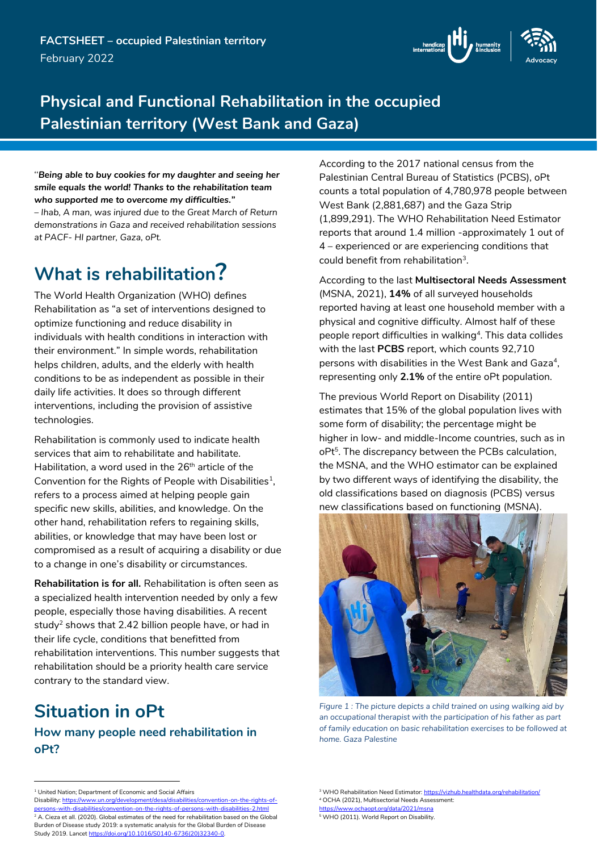

## **Physical and Functional Rehabilitation in the occupied Palestinian territory (West Bank and Gaza)**

''*Being able to buy cookies for my daughter and seeing her smile equals the world! Thanks to the rehabilitation team who supported me to overcome my difficulties." – Ihab, A man, was injured due to the Great March of Return demonstrations in Gaza and received rehabilitation sessions at PACF- HI partner, Gaza, oPt.*

# **What is rehabilitation?**

The World Health Organization (WHO) defines Rehabilitation as "a set of interventions designed to optimize functioning and reduce disability in individuals with health conditions in interaction with their environment." In simple words, rehabilitation helps children, adults, and the elderly with health conditions to be as independent as possible in their daily life activities. It does so through different interventions, including the provision of assistive technologies.

Rehabilitation is commonly used to indicate health services that aim to rehabilitate and habilitate. Habilitation, a word used in the 26<sup>th</sup> article of the Convention for the Rights of People with Disabilities<sup>1</sup>, refers to a process aimed at helping people gain specific new skills, abilities, and knowledge. On the other hand, rehabilitation refers to regaining skills, abilities, or knowledge that may have been lost or compromised as a result of acquiring a disability or due to a change in one's disability or circumstances.

**Rehabilitation is for all.** Rehabilitation is often seen as a specialized health intervention needed by only a few people, especially those having disabilities. A recent study<sup>2</sup> shows that 2.42 billion people have, or had in their life cycle, conditions that benefitted from rehabilitation interventions. This number suggests that rehabilitation should be a priority health care service contrary to the standard view.

# **Situation in oPt**

### **How many people need rehabilitation in oPt?**

According to the 2017 national census from the Palestinian Central Bureau of Statistics (PCBS), oPt counts a total population of 4,780,978 people between West Bank (2,881,687) and the Gaza Strip (1,899,291). The WHO Rehabilitation Need Estimator reports that around 1.4 million -approximately 1 out of 4 – experienced or are experiencing conditions that could benefit from rehabilitation<sup>3</sup>.

According to the last **Multisectoral Needs Assessment** (MSNA, 2021), **14%** of all surveyed households reported having at least one household member with a physical and cognitive difficulty. Almost half of these people report difficulties in walking<sup>4</sup>. This data collides with the last **PCBS** report, which counts 92,710 persons with disabilities in the West Bank and Gaza<sup>4</sup> , representing only **2.1%** of the entire oPt population.

The previous World Report on Disability (2011) estimates that 15% of the global population lives with some form of disability; the percentage might be higher in low- and middle-Income countries, such as in oPt 5 . The discrepancy between the PCBs calculation, the MSNA, and the WHO estimator can be explained by two different ways of identifying the disability, the old classifications based on diagnosis (PCBS) versus new classifications based on functioning (MSNA).



*Figure 1 : The picture depicts a child trained on using walking aid by an occupational therapist with the participation of his father as part of family education on basic rehabilitation exercises to be followed at home. Gaza Palestine*

<sup>-</sup><sup>1</sup> United Nation; Department of Economic and Social Affairs

Disability: https://www.un.org/development/desa/disabilities/ rsons-with-disabilities/convention-on-the-rights-of-persons-with-disabilities-2.html <sup>2</sup> A. Cieza et all. (2020). Global estimates of the need for rehabilitation based on the Global Burden of Disease study 2019: a systematic analysis for the Global Burden of Disease Study 2019. Lance[t https://doi.org/10.1016/S0140-6736\(20\)32340-0.](https://doi.org/10.1016/S0140-6736(20)32340-0)

<sup>&</sup>lt;sup>3</sup> WHO Rehabilitation Need Estimator[: https://vizhub.healthdata.org/rehabilitation/](https://vizhub.healthdata.org/rehabilitation/) <sup>4</sup> OCHA (2021), Multisectorial Needs Assessment:

https://www.ochaopt.org/data/2021/msn

<sup>5</sup> WHO (2011). World Report on Disability.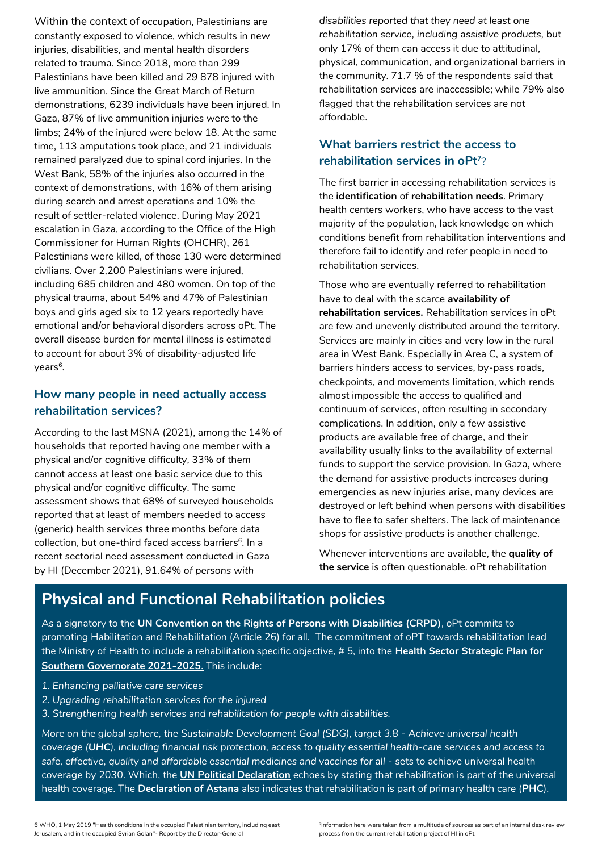Within the context of occupation, Palestinians are constantly exposed to violence, which results in new injuries, disabilities, and mental health disorders related to trauma. Since 2018, more than 299 Palestinians have been killed and 29 878 injured with live ammunition. Since the Great March of Return demonstrations, 6239 individuals have been injured. In Gaza, 87% of live ammunition injuries were to the limbs; 24% of the injured were below 18. At the same time, 113 amputations took place, and 21 individuals remained paralyzed due to spinal cord injuries. In the West Bank, 58% of the injuries also occurred in the context of demonstrations, with 16% of them arising during search and arrest operations and 10% the result of settler-related violence. During May 2021 escalation in Gaza, according to the Office of the High Commissioner for Human Rights (OHCHR), 261 Palestinians were killed, of those 130 were determined civilians. Over 2,200 Palestinians were injured, including 685 children and 480 women. On top of the physical trauma, about 54% and 47% of Palestinian boys and girls aged six to 12 years reportedly have emotional and/or behavioral disorders across oPt. The overall disease burden for mental illness is estimated to account for about 3% of disability-adjusted life years<sup>6</sup>.

### **How many people in need actually access rehabilitation services?**

According to the last MSNA (2021), among the 14% of households that reported having one member with a physical and/or cognitive difficulty, 33% of them cannot access at least one basic service due to this physical and/or cognitive difficulty. The same assessment shows that 68% of surveyed households reported that at least of members needed to access (generic) health services three months before data collection, but one-third faced access barriers<sup>6</sup>. In a recent sectorial need assessment conducted in Gaza by HI (December 2021), *91.64% of persons with* 

*disabilities reported that they need at least one rehabilitation service, including assistive products,* but only 17% of them can access it due to attitudinal, physical, communication, and organizational barriers in the community. 71.7 % of the respondents said that rehabilitation services are inaccessible; while 79% also flagged that the rehabilitation services are not affordable.

### **What barriers restrict the access to rehabilitation services in oPt<sup>7</sup>** ?

The first barrier in accessing rehabilitation services is the **identification** of **rehabilitation needs**. Primary health centers workers, who have access to the vast majority of the population, lack knowledge on which conditions benefit from rehabilitation interventions and therefore fail to identify and refer people in need to rehabilitation services.

Those who are eventually referred to rehabilitation have to deal with the scarce **availability of rehabilitation services.** Rehabilitation services in oPt are few and unevenly distributed around the territory. Services are mainly in cities and very low in the rural area in West Bank. Especially in Area C, a system of barriers hinders access to services, by-pass roads, checkpoints, and movements limitation, which rends almost impossible the access to qualified and continuum of services, often resulting in secondary complications. In addition, only a few assistive products are available free of charge, and their availability usually links to the availability of external funds to support the service provision. In Gaza, where the demand for assistive products increases during emergencies as new injuries arise, many devices are destroyed or left behind when persons with disabilities have to flee to safer shelters. The lack of maintenance shops for assistive products is another challenge.

Whenever interventions are available, the **quality of the service** is often questionable. oPt rehabilitation

### **Physical and Functional Rehabilitation policies**

As a signatory to the **[UN Convention on the Rights of Persons with Disabilities \(CRPD\)](https://www.un.org/development/desa/disabilities/convention-on-the-rights-of-persons-with-disabilities/convention-on-the-rights-of-persons-with-disabilities-2.html)**, oPt commits to promoting Habilitation and Rehabilitation (Article 26) for all. The commitment of oPT towards rehabilitation lead the Ministry of Health to include a rehabilitation specific objective, # 5, into the **[Health Sector Strategic Plan for](https://www.moh.gov.ps/mohStatL/E_Strategic_Plan_2021-2025.pdf)  [Southern Governorate 2021-2025](https://www.moh.gov.ps/mohStatL/E_Strategic_Plan_2021-2025.pdf)**. This include:

*1. Enhancing palliative care services*

-

- *2. Upgrading rehabilitation services for the injured*
- *3. Strengthening health services and rehabilitation for people with disabilities.*

*More on the global sphere, the Sustainable Development Goal (SDG), target 3.8 - Achieve universal health coverage (UHC), including financial risk protection, access to quality essential health-care services and access to safe, effective, quality and affordable essential medicines and vaccines for all -* sets to achieve universal health coverage by 2030. Which, the **[UN Political Declaration](https://www.un.org/pga/73/wp-content/uploads/sites/53/2019/07/FINAL-draft-UHC-Political-Declaration.pdf)** echoes by stating that rehabilitation is part of the universal health coverage. The **[Declaration of Astana](https://www.who.int/docs/default-source/primary-health/declaration/gcphc-declaration.pdf)** also indicates that rehabilitation is part of primary health care (**PHC**).

6 WHO, 1 May 2019 "Health conditions in the occupied Palestinian territory, including east Jerusalem, and in the occupied Syrian Golan"- Report by the Director-General